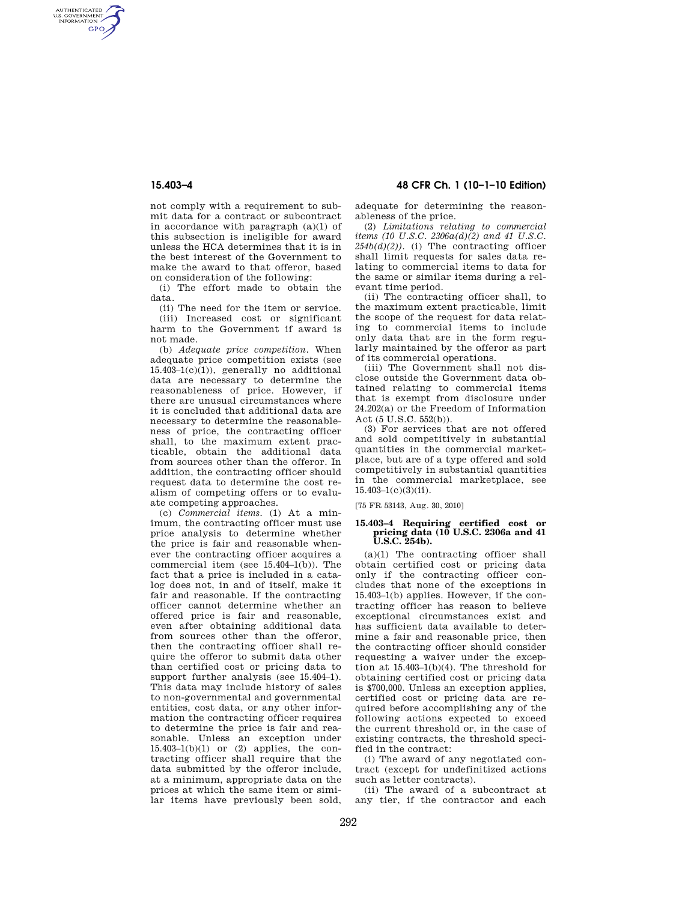AUTHENTICATED<br>U.S. GOVERNMENT<br>INFORMATION **GPO** 

> not comply with a requirement to submit data for a contract or subcontract in accordance with paragraph (a)(1) of this subsection is ineligible for award unless the HCA determines that it is in the best interest of the Government to make the award to that offeror, based on consideration of the following:

(i) The effort made to obtain the data.

(ii) The need for the item or service. (iii) Increased cost or significant harm to the Government if award is not made.

(b) *Adequate price competition.* When adequate price competition exists (see  $15.403-1(c)(1)$ , generally no additional data are necessary to determine the reasonableness of price. However, if there are unusual circumstances where it is concluded that additional data are necessary to determine the reasonableness of price, the contracting officer shall, to the maximum extent practicable, obtain the additional data from sources other than the offeror. In addition, the contracting officer should request data to determine the cost realism of competing offers or to evaluate competing approaches.

(c) *Commercial items.* (1) At a minimum, the contracting officer must use price analysis to determine whether the price is fair and reasonable whenever the contracting officer acquires a commercial item (see  $15.404-1(b)$ ). The fact that a price is included in a catalog does not, in and of itself, make it fair and reasonable. If the contracting officer cannot determine whether an offered price is fair and reasonable, even after obtaining additional data from sources other than the offeror, then the contracting officer shall require the offeror to submit data other than certified cost or pricing data to support further analysis (see 15.404–1). This data may include history of sales to non-governmental and governmental entities, cost data, or any other information the contracting officer requires to determine the price is fair and reasonable. Unless an exception under  $15.403-1(b)(1)$  or  $(2)$  applies, the contracting officer shall require that the data submitted by the offeror include, at a minimum, appropriate data on the prices at which the same item or similar items have previously been sold,

**15.403–4 48 CFR Ch. 1 (10–1–10 Edition)** 

adequate for determining the reasonableness of the price.

(2) *Limitations relating to commercial items (10 U.S.C. 2306a(d)(2) and 41 U.S.C.*   $254b(d)(2)$ ). (i) The contracting officer shall limit requests for sales data relating to commercial items to data for the same or similar items during a relevant time period.

(ii) The contracting officer shall, to the maximum extent practicable, limit the scope of the request for data relating to commercial items to include only data that are in the form regularly maintained by the offeror as part of its commercial operations.

(iii) The Government shall not disclose outside the Government data obtained relating to commercial items that is exempt from disclosure under 24.202(a) or the Freedom of Information Act (5 U.S.C. 552(b)).

(3) For services that are not offered and sold competitively in substantial quantities in the commercial marketplace, but are of a type offered and sold competitively in substantial quantities in the commercial marketplace, see  $15.403 - 1(c)(3)(ii)$ .

[75 FR 53143, Aug. 30, 2010]

## **15.403–4 Requiring certified cost or pricing data (10 U.S.C. 2306a and 41 U.S.C. 254b).**

(a)(1) The contracting officer shall obtain certified cost or pricing data only if the contracting officer concludes that none of the exceptions in 15.403–1(b) applies. However, if the contracting officer has reason to believe exceptional circumstances exist and has sufficient data available to determine a fair and reasonable price, then the contracting officer should consider requesting a waiver under the exception at 15.403–1(b)(4). The threshold for obtaining certified cost or pricing data is \$700,000. Unless an exception applies, certified cost or pricing data are required before accomplishing any of the following actions expected to exceed the current threshold or, in the case of existing contracts, the threshold specified in the contract:

(i) The award of any negotiated contract (except for undefinitized actions such as letter contracts).

(ii) The award of a subcontract at any tier, if the contractor and each